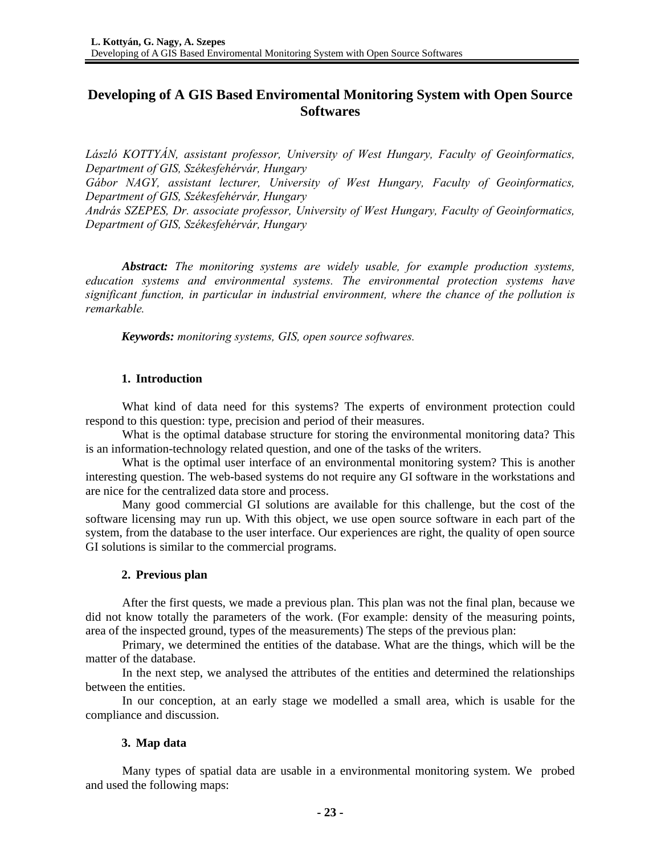# **Developing of A GIS Based Enviromental Monitoring System with Open Source Softwares**

*László KOTTYÁN, assistant professor, University of West Hungary, Faculty of Geoinformatics, Department of GIS, Székesfehérvár, Hungary Gábor NAGY, assistant lecturer, University of West Hungary, Faculty of Geoinformatics, Department of GIS, Székesfehérvár, Hungary András SZEPES, Dr. associate professor, University of West Hungary, Faculty of Geoinformatics, Department of GIS, Székesfehérvár, Hungary* 

*Abstract: The monitoring systems are widely usable, for example production systems, education systems and environmental systems. The environmental protection systems have significant function, in particular in industrial environment, where the chance of the pollution is remarkable.* 

*Keywords: monitoring systems, GIS, open source softwares.* 

## **1. Introduction**

What kind of data need for this systems? The experts of environment protection could respond to this question: type, precision and period of their measures.

What is the optimal database structure for storing the environmental monitoring data? This is an information-technology related question, and one of the tasks of the writers.

What is the optimal user interface of an environmental monitoring system? This is another interesting question. The web-based systems do not require any GI software in the workstations and are nice for the centralized data store and process.

Many good commercial GI solutions are available for this challenge, but the cost of the software licensing may run up. With this object, we use open source software in each part of the system, from the database to the user interface. Our experiences are right, the quality of open source GI solutions is similar to the commercial programs.

## **2. Previous plan**

After the first quests, we made a previous plan. This plan was not the final plan, because we did not know totally the parameters of the work. (For example: density of the measuring points, area of the inspected ground, types of the measurements) The steps of the previous plan:

Primary, we determined the entities of the database. What are the things, which will be the matter of the database.

In the next step, we analysed the attributes of the entities and determined the relationships between the entities.

In our conception, at an early stage we modelled a small area, which is usable for the compliance and discussion.

## **3. Map data**

Many types of spatial data are usable in a environmental monitoring system. We probed and used the following maps: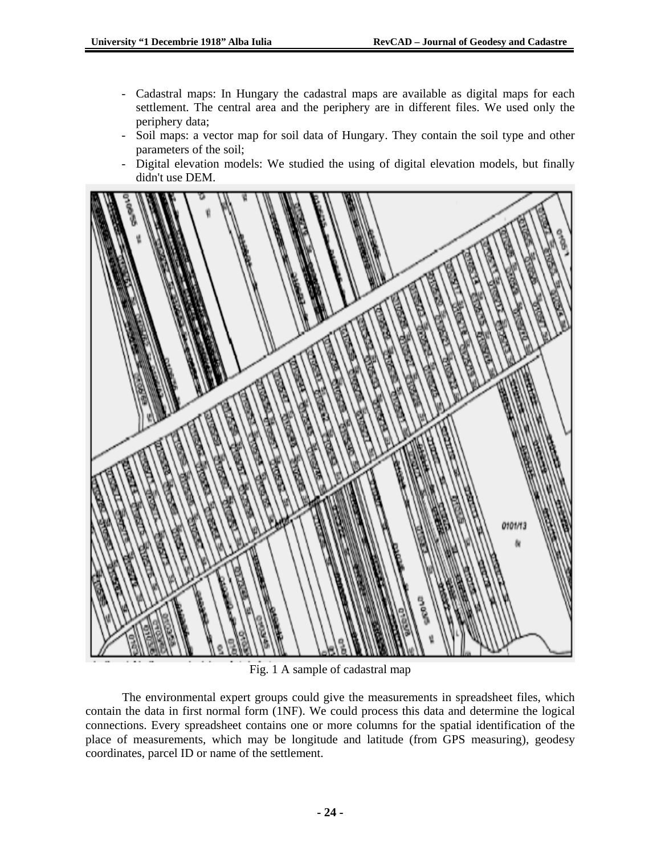- Cadastral maps: In Hungary the cadastral maps are available as digital maps for each settlement. The central area and the periphery are in different files. We used only the periphery data;
- Soil maps: a vector map for soil data of Hungary. They contain the soil type and other parameters of the soil;
- Digital elevation models: We studied the using of digital elevation models, but finally didn't use DEM.



Fig. 1 A sample of cadastral map

The environmental expert groups could give the measurements in spreadsheet files, which contain the data in first normal form (1NF). We could process this data and determine the logical connections. Every spreadsheet contains one or more columns for the spatial identification of the place of measurements, which may be longitude and latitude (from GPS measuring), geodesy coordinates, parcel ID or name of the settlement.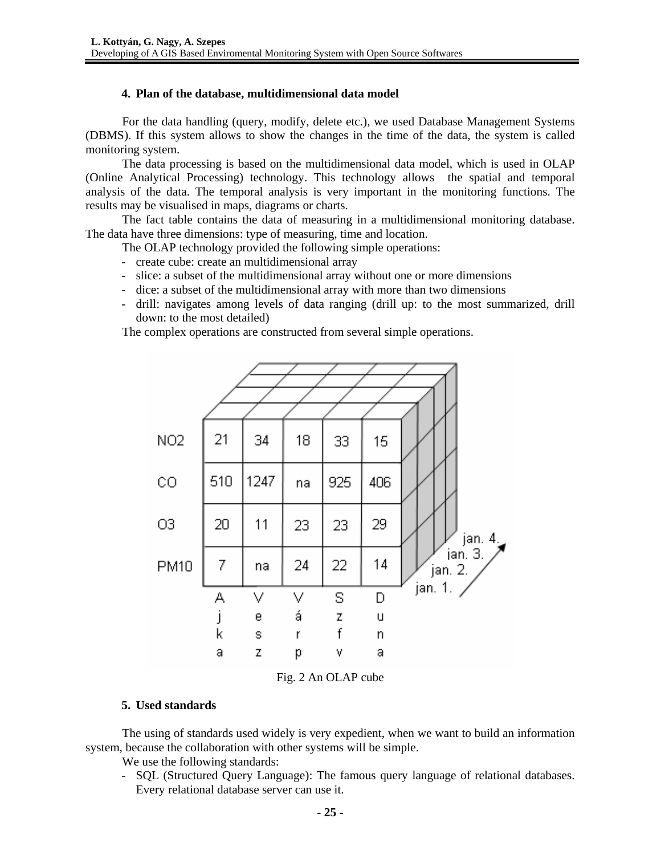#### **4. Plan of the database, multidimensional data model**

For the data handling (query, modify, delete etc.), we used Database Management Systems (DBMS). If this system allows to show the changes in the time of the data, the system is called monitoring system.

The data processing is based on the multidimensional data model, which is used in OLAP (Online Analytical Processing) technology. This technology allows the spatial and temporal analysis of the data. The temporal analysis is very important in the monitoring functions. The results may be visualised in maps, diagrams or charts.

The fact table contains the data of measuring in a multidimensional monitoring database. The data have three dimensions: type of measuring, time and location.

The OLAP technology provided the following simple operations:

- create cube: create an multidimensional array
- slice: a subset of the multidimensional array without one or more dimensions
- dice: a subset of the multidimensional array with more than two dimensions
- drill: navigates among levels of data ranging (drill up: to the most summarized, drill down: to the most detailed)

The complex operations are constructed from several simple operations.



Fig. 2 An OLAP cube

## **5. Used standards**

The using of standards used widely is very expedient, when we want to build an information system, because the collaboration with other systems will be simple.

- We use the following standards:
- SQL (Structured Query Language): The famous query language of relational databases. Every relational database server can use it.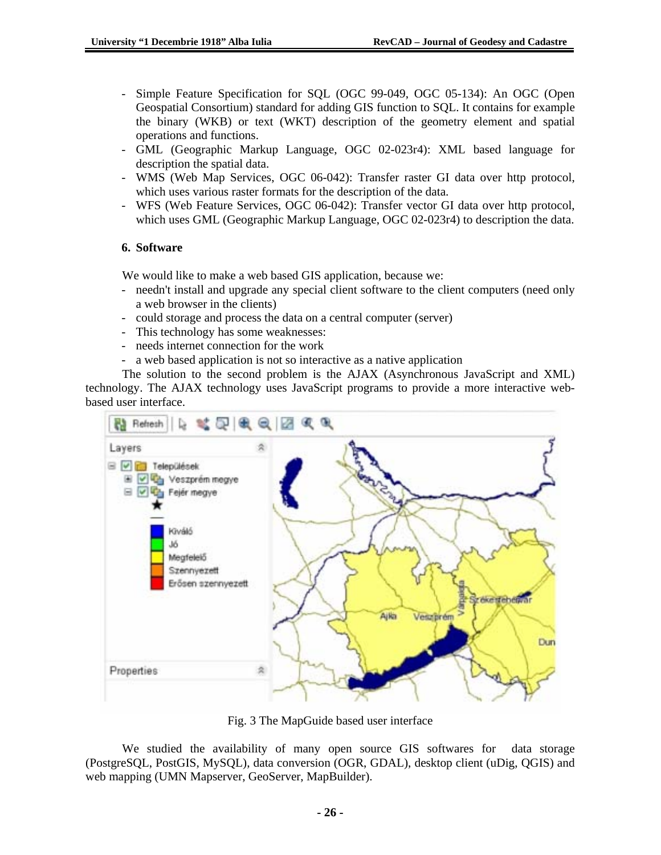- Simple Feature Specification for SQL (OGC 99-049, OGC 05-134): An OGC (Open Geospatial Consortium) standard for adding GIS function to SQL. It contains for example the binary (WKB) or text (WKT) description of the geometry element and spatial operations and functions.
- GML (Geographic Markup Language, OGC 02-023r4): XML based language for description the spatial data.
- WMS (Web Map Services, OGC 06-042): Transfer raster GI data over http protocol, which uses various raster formats for the description of the data.
- WFS (Web Feature Services, OGC 06-042): Transfer vector GI data over http protocol, which uses GML (Geographic Markup Language, OGC 02-023r4) to description the data.

# **6. Software**

We would like to make a web based GIS application, because we:

- needn't install and upgrade any special client software to the client computers (need only a web browser in the clients)
- could storage and process the data on a central computer (server)
- This technology has some weaknesses:
- needs internet connection for the work
- a web based application is not so interactive as a native application

The solution to the second problem is the AJAX (Asynchronous JavaScript and XML) technology. The AJAX technology uses JavaScript programs to provide a more interactive webbased user interface.



Fig. 3 The MapGuide based user interface

We studied the availability of many open source GIS softwares for data storage (PostgreSQL, PostGIS, MySQL), data conversion (OGR, GDAL), desktop client (uDig, QGIS) and web mapping (UMN Mapserver, GeoServer, MapBuilder).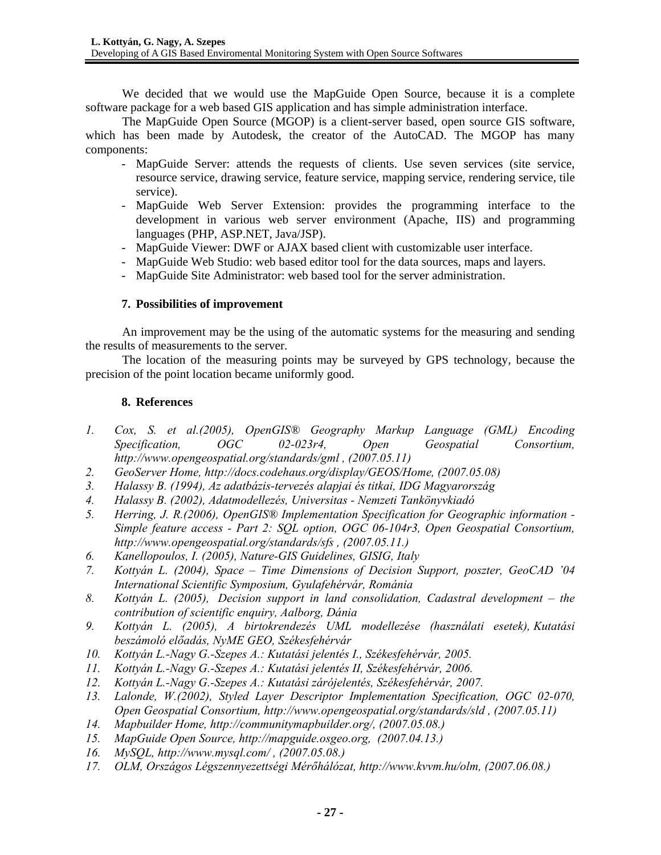We decided that we would use the MapGuide Open Source, because it is a complete software package for a web based GIS application and has simple administration interface.

The MapGuide Open Source (MGOP) is a client-server based, open source GIS software, which has been made by Autodesk, the creator of the AutoCAD. The MGOP has many components:

- MapGuide Server: attends the requests of clients. Use seven services (site service, resource service, drawing service, feature service, mapping service, rendering service, tile service).
- MapGuide Web Server Extension: provides the programming interface to the development in various web server environment (Apache, IIS) and programming languages (PHP, ASP.NET, Java/JSP).
- MapGuide Viewer: DWF or AJAX based client with customizable user interface.
- MapGuide Web Studio: web based editor tool for the data sources, maps and layers.
- MapGuide Site Administrator: web based tool for the server administration.

# **7. Possibilities of improvement**

An improvement may be the using of the automatic systems for the measuring and sending the results of measurements to the server.

The location of the measuring points may be surveyed by GPS technology, because the precision of the point location became uniformly good.

# **8. References**

- *1. Cox, S. et al.(2005), OpenGIS® Geography Markup Language (GML) Encoding Specification, OGC 02-023r4, Open Geospatial Consortium, http://www.opengeospatial.org/standards/gml , (2007.05.11)*
- *2. GeoServer Home, http://docs.codehaus.org/display/GEOS/Home, (2007.05.08)*
- *3. Halassy B. (1994), Az adatbázis-tervezés alapjai és titkai, IDG Magyarország*
- *4. Halassy B. (2002), Adatmodellezés, Universitas Nemzeti Tankönyvkiadó*
- *5. Herring, J. R.(2006), OpenGIS® Implementation Specification for Geographic information Simple feature access - Part 2: SQL option, OGC 06-104r3, Open Geospatial Consortium, http://www.opengeospatial.org/standards/sfs , (2007.05.11.)*
- *6. Kanellopoulos, I. (2005), Nature-GIS Guidelines, GISIG, Italy*
- *7. Kottyán L. (2004), Space Time Dimensions of Decision Support, poszter, GeoCAD '04 International Scientific Symposium, Gyulafehérvár, Románia*
- *8. Kottyán L. (2005), Decision support in land consolidation, Cadastral development the contribution of scientific enquiry, Aalborg, Dánia*
- *9. Kottyán L. (2005), A birtokrendezés UML modellezése (használati esetek), Kutatási beszámoló előadás, NyME GEO, Székesfehérvár*
- *10. Kottyán L.-Nagy G.-Szepes A.: Kutatási jelentés I., Székesfehérvár, 2005.*
- *11. Kottyán L.-Nagy G.-Szepes A.: Kutatási jelentés II, Székesfehérvár, 2006.*
- *12. Kottyán L.-Nagy G.-Szepes A.: Kutatási zárójelentés, Székesfehérvár, 2007.*
- *13. Lalonde, W.(2002), Styled Layer Descriptor Implementation Specification, OGC 02-070, Open Geospatial Consortium, http://www.opengeospatial.org/standards/sld , (2007.05.11)*
- *14. Mapbuilder Home, http://communitymapbuilder.org/, (2007.05.08.)*
- *15. MapGuide Open Source, http://mapguide.osgeo.org, (2007.04.13.)*
- *16. MySQL, http://www.mysql.com/ , (2007.05.08.)*
- *17. OLM, Országos Légszennyezettségi Mérőhálózat, http://www.kvvm.hu/olm, (2007.06.08.)*